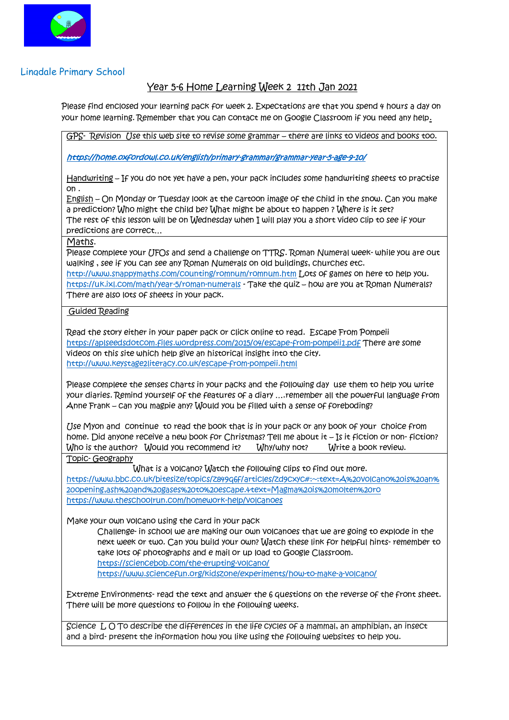

## Lingdale Primary School

## Year 5-6 Home Learning Week 2 11th Jan 2021

Please find enclosed your learning pack for week 2. Expectations are that you spend 4 hours a day on your home learning. Remember that you can contact me on Google Classroom if you need any help.

GPS- Revision Use this web site to revise some grammar – there are links to videos and books too.

<https://home.oxfordowl.co.uk/english/primary-grammar/grammar-year-5-age-9-10/>

Handwriting - If you do not yet have a pen, your pack includes some handwriting sheets to practise on .

English – On Monday or Tuesday look at the cartoon image of the child in the snow. Can you make a prediction? Who might the child be? What might be about to happen ? Where is it set? The rest of this lesson will be on Wednesday when I will play you a short video clip to see if your predictions are correct…

Maths.

Please complete your UFOs and send a challenge on TTRS. Roman Numeral week- while you are out walking , see if you can see any Roman Numerals on old buildings, churches etc.

<http://www.snappymaths.com/counting/romnum/romnum.htm> Lots of games on here to help you. <https://uk.ixl.com/math/year-5/roman-numerals> - Take the quiz – how are you at Roman Numerals? There are also lots of sheets in your pack.

## Guided Reading

Read the story either in your paper pack or click online to read. Escape From Pompeii <https://aplseedsdotcom.files.wordpress.com/2015/04/escape-from-pompeii1.pdf> There are some videos on this site which help give an historical insight into the city. <http://www.keystage2literacy.co.uk/escape-from-pompeii.html>

Please complete the senses charts in your packs and the following day use them to help you write your diaries. Remind yourself of the features of a diary ….remember all the powerful language from Anne Frank – can you magpie any? Would you be filled with a sense of foreboding?

Use Myon and continue to read the book that is in your pack or any book of your choice from home. Did anyone receive a new book for Christmas? Tell me about it – Is it fiction or non- fiction? Who is the author? Would you recommend it? Why/why not? Write a book review. Topic- Geography

 What is a volcano? Watch the following clips to find out more. [https://www.bbc.co.uk/bitesize/topics/z849q6f/articles/zd9cxyc#:~:text=A%20volcano%20is%20an%](https://www.bbc.co.uk/bitesize/topics/z849q6f/articles/zd9cxyc#:~:text=A%20volcano%20is%20an%20opening,ash%20and%20gases%20to%20escape.&text=Magma%20is%20molten%20ro) [20opening,ash%20and%20gases%20to%20escape.&text=Magma%20is%20molten%20ro](https://www.bbc.co.uk/bitesize/topics/z849q6f/articles/zd9cxyc#:~:text=A%20volcano%20is%20an%20opening,ash%20and%20gases%20to%20escape.&text=Magma%20is%20molten%20ro) <https://www.theschoolrun.com/homework-help/volcanoes>

Make your own volcano using the card in your pack

Challenge- in school we are making our own volcanoes that we are going to explode in the next week or two. Can you build your own? Watch these link for helpful hints- remember to take lots of photographs and e mail or up load to Google Classroom. <https://sciencebob.com/the-erupting-volcano/> <https://www.sciencefun.org/kidszone/experiments/how-to-make-a-volcano/>

Extreme Environments- read the text and answer the 6 questions on the reverse of the front sheet. There will be more questions to follow in the following weeks.

Science I, O To describe the differences in the life cycles of a mammal, an amphibian, an insect and a bird- present the information how you like using the following websites to help you.